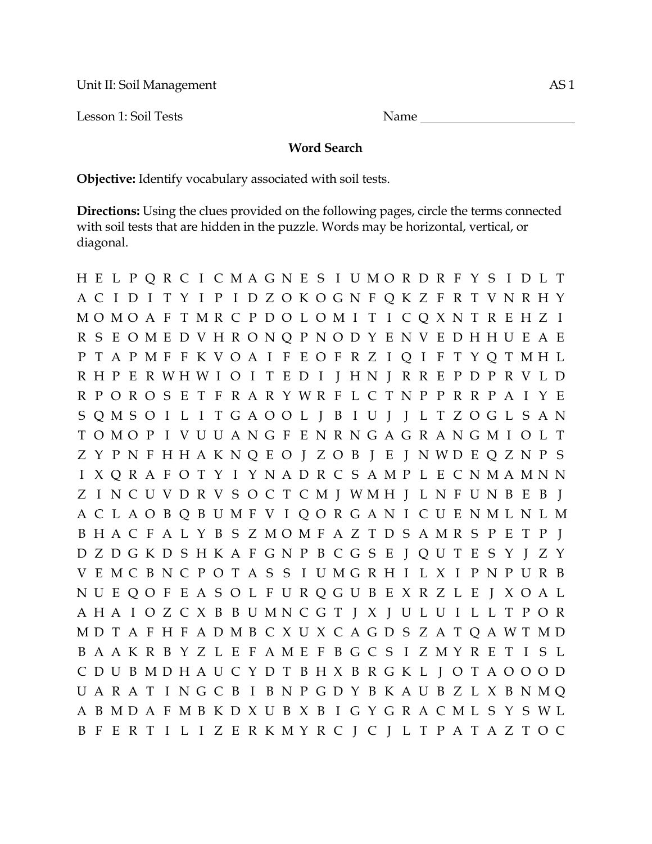Unit II: Soil Management AS 1

Lesson 1: Soil Tests Name

## **Word Search**

**Objective:** Identify vocabulary associated with soil tests.

**Directions:** Using the clues provided on the following pages, circle the terms connected with soil tests that are hidden in the puzzle. Words may be horizontal, vertical, or diagonal.

H E L P Q R C I C M A G N E S I U M O R D R F Y S I D L T A C I D I T Y I P I D Z O K O G N F Q K Z F R T V N R H Y M O M O A F T M R C P D O L O M I T I C Q X N T R E H Z I R S E O M E D V H R O N Q P N O D Y E N V E D H H U E A E P T A P M F F K V O A I F E O F R Z I Q I F T Y Q T M H L R H P E R W H W I O I T E D I J H N J R R E P D P R V L D R P O R O S E T F R A R Y W R F L C T N P P R R P A I Y E S Q M S O I L I T G A O O L J B I U J J L T Z O G L S A N T O M O P I V U U A N G F E N R N G A G R A N G M I O L T Z Y P N F H H A K N Q E O J Z O B J E J N W D E Q Z N P S I X Q R A F O T Y I Y N A D R C S A M P L E C N M A M N N Z I N C U V D R V S O C T C M J W M H J L N F U N B E B J A C L A O B Q B U M F V I Q O R G A N I C U E N M L N L M B H A C F A L Y B S Z M O M F A Z T D S A M R S P E T P J D Z D G K D S H K A F G N P B C G S E J Q U T E S Y J Z Y V E M C B N C P O T A S S I U M G R H I L X I P N P U R B N U E Q O F E A S O L F U R Q G U B E X R Z L E J X O A L A H A I O Z C X B B U M N C G T J X J U L U I L L T P O R M D T A F H F A D M B C X U X C A G D S Z A T Q A W T M D B A A K R B Y Z L E F A M E F B G C S I Z M Y R E T I S L C D U B M D H A U C Y D T B H X B R G K L J O T A O O O D U A R A T I N G C B I B N P G D Y B K A U B Z L X B N M Q A B M D A F M B K D X U B X B I G Y G R A C M L S Y S W L B F E R T I L I Z E R K M Y R C J C J L T P A T A Z T O C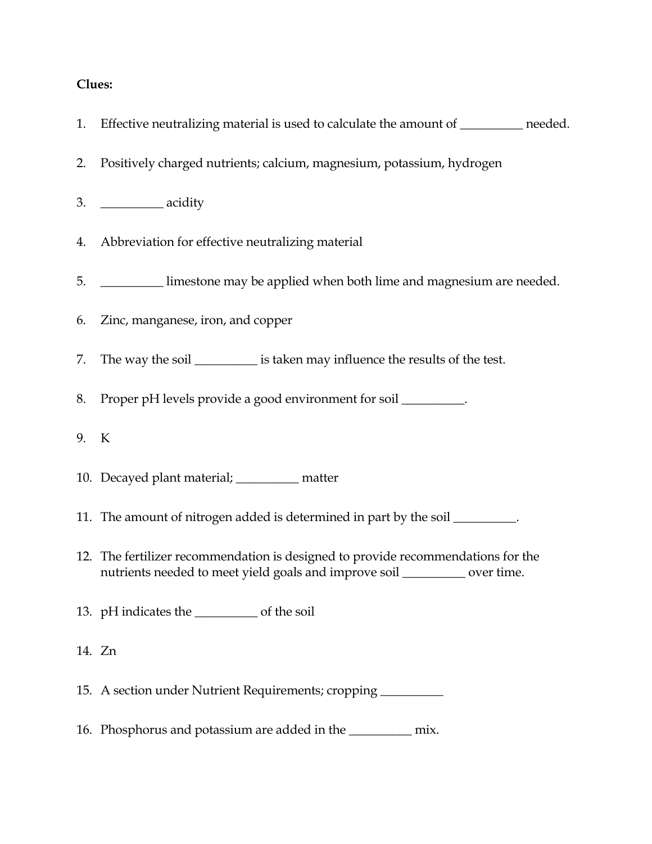## **Clues:**

|      | 1. Effective neutralizing material is used to calculate the amount of _________ needed.                                                                        |
|------|----------------------------------------------------------------------------------------------------------------------------------------------------------------|
| 2.   | Positively charged nutrients; calcium, magnesium, potassium, hydrogen                                                                                          |
|      |                                                                                                                                                                |
| 4.   | Abbreviation for effective neutralizing material                                                                                                               |
|      | 5. <b>IMELGINE</b> Limestone may be applied when both lime and magnesium are needed.                                                                           |
|      | 6. Zinc, manganese, iron, and copper                                                                                                                           |
|      | 7. The way the soil ___________ is taken may influence the results of the test.                                                                                |
| 8.   | Proper pH levels provide a good environment for soil _________.                                                                                                |
| 9. K |                                                                                                                                                                |
|      | 10. Decayed plant material; _________ matter                                                                                                                   |
|      | 11. The amount of nitrogen added is determined in part by the soil ________.                                                                                   |
|      | 12. The fertilizer recommendation is designed to provide recommendations for the<br>nutrients needed to meet yield goals and improve soil _________ over time. |
|      | 13. pH indicates the ______________ of the soil                                                                                                                |
|      | 14. Zn                                                                                                                                                         |
|      | 15. A section under Nutrient Requirements; cropping ____________________________                                                                               |
|      | 16. Phosphorus and potassium are added in the ___________ mix.                                                                                                 |